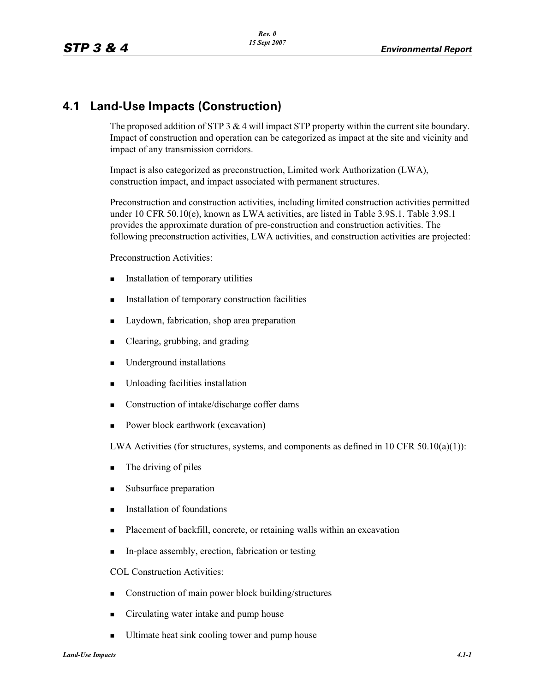## **4.1 Land-Use Impacts (Construction)**

The proposed addition of STP 3 & 4 will impact STP property within the current site boundary. Impact of construction and operation can be categorized as impact at the site and vicinity and impact of any transmission corridors.

Impact is also categorized as preconstruction, Limited work Authorization (LWA), construction impact, and impact associated with permanent structures.

Preconstruction and construction activities, including limited construction activities permitted under 10 CFR 50.10(e), known as LWA activities, are listed in Table 3.9S.1. Table 3.9S.1 provides the approximate duration of pre-construction and construction activities. The following preconstruction activities, LWA activities, and construction activities are projected:

Preconstruction Activities:

- -Installation of temporary utilities
- -Installation of temporary construction facilities
- -Laydown, fabrication, shop area preparation
- -Clearing, grubbing, and grading
- -Underground installations
- -Unloading facilities installation
- -Construction of intake/discharge coffer dams
- -Power block earthwork (excavation)

LWA Activities (for structures, systems, and components as defined in 10 CFR 50.10(a)(1)):

- -The driving of piles
- -Subsurface preparation
- -Installation of foundations
- -Placement of backfill, concrete, or retaining walls within an excavation
- -In-place assembly, erection, fabrication or testing

COL Construction Activities:

- -Construction of main power block building/structures
- -Circulating water intake and pump house
- -Ultimate heat sink cooling tower and pump house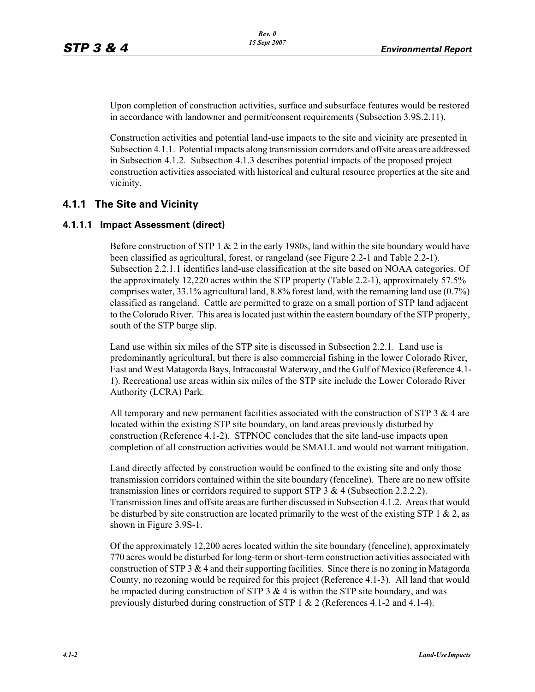Upon completion of construction activities, surface and subsurface features would be restored in accordance with landowner and permit/consent requirements (Subsection 3.9S.2.11).

Construction activities and potential land-use impacts to the site and vicinity are presented in Subsection 4.1.1. Potential impacts along transmission corridors and offsite areas are addressed in Subsection 4.1.2. Subsection 4.1.3 describes potential impacts of the proposed project construction activities associated with historical and cultural resource properties at the site and vicinity.

### **4.1.1 The Site and Vicinity**

#### **4.1.1.1 Impact Assessment (direct)**

Before construction of STP 1  $\&$  2 in the early 1980s, land within the site boundary would have been classified as agricultural, forest, or rangeland (see Figure 2.2-1 and Table 2.2-1). Subsection 2.2.1.1 identifies land-use classification at the site based on NOAA categories. Of the approximately 12,220 acres within the STP property (Table 2.2-1), approximately 57.5% comprises water,  $33.1\%$  agricultural land,  $8.8\%$  forest land, with the remaining land use  $(0.7\%)$ classified as rangeland. Cattle are permitted to graze on a small portion of STP land adjacent to the Colorado River. This area is located just within the eastern boundary of the STP property, south of the STP barge slip.

Land use within six miles of the STP site is discussed in Subsection 2.2.1. Land use is predominantly agricultural, but there is also commercial fishing in the lower Colorado River, East and West Matagorda Bays, Intracoastal Waterway, and the Gulf of Mexico (Reference 4.1- 1). Recreational use areas within six miles of the STP site include the Lower Colorado River Authority (LCRA) Park.

All temporary and new permanent facilities associated with the construction of STP 3 & 4 are located within the existing STP site boundary, on land areas previously disturbed by construction (Reference 4.1-2). STPNOC concludes that the site land-use impacts upon completion of all construction activities would be SMALL and would not warrant mitigation.

Land directly affected by construction would be confined to the existing site and only those transmission corridors contained within the site boundary (fenceline). There are no new offsite transmission lines or corridors required to support STP 3 & 4 (Subsection 2.2.2.2). Transmission lines and offsite areas are further discussed in Subsection 4.1.2. Areas that would be disturbed by site construction are located primarily to the west of the existing STP 1  $\&$  2, as shown in Figure 3.9S-1.

Of the approximately 12,200 acres located within the site boundary (fenceline), approximately 770 acres would be disturbed for long-term or short-term construction activities associated with construction of STP 3  $\&$  4 and their supporting facilities. Since there is no zoning in Matagorda County, no rezoning would be required for this project (Reference 4.1-3). All land that would be impacted during construction of STP  $3 \& 4$  is within the STP site boundary, and was previously disturbed during construction of STP 1 & 2 (References 4.1-2 and 4.1-4).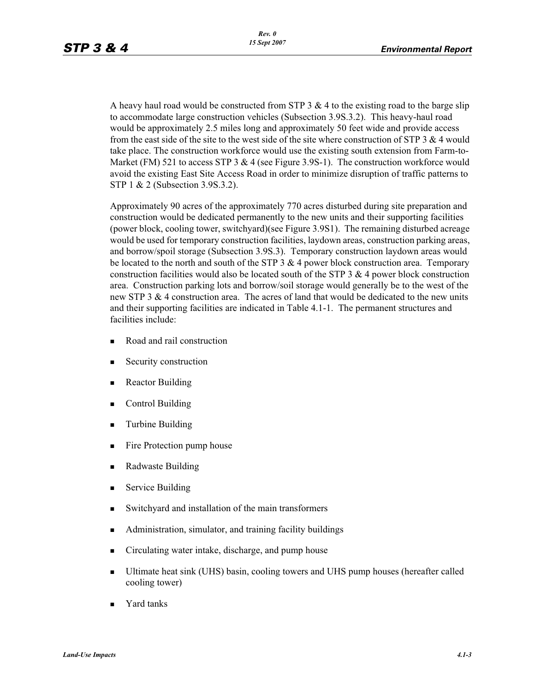A heavy haul road would be constructed from STP  $3 \& 4$  to the existing road to the barge slip to accommodate large construction vehicles (Subsection 3.9S.3.2). This heavy-haul road would be approximately 2.5 miles long and approximately 50 feet wide and provide access from the east side of the site to the west side of the site where construction of STP  $3 \& 4$  would take place. The construction workforce would use the existing south extension from Farm-to-Market (FM) 521 to access STP 3  $& 4$  (see Figure 3.9S-1). The construction workforce would avoid the existing East Site Access Road in order to minimize disruption of traffic patterns to STP 1 & 2 (Subsection 3.9S.3.2).

Approximately 90 acres of the approximately 770 acres disturbed during site preparation and construction would be dedicated permanently to the new units and their supporting facilities (power block, cooling tower, switchyard)(see Figure 3.9S1). The remaining disturbed acreage would be used for temporary construction facilities, laydown areas, construction parking areas, and borrow/spoil storage (Subsection 3.9S.3). Temporary construction laydown areas would be located to the north and south of the STP  $3 \& 4$  power block construction area. Temporary construction facilities would also be located south of the STP  $3 \& 4$  power block construction area. Construction parking lots and borrow/soil storage would generally be to the west of the new STP 3  $\&$  4 construction area. The acres of land that would be dedicated to the new units and their supporting facilities are indicated in Table 4.1-1. The permanent structures and facilities include:

- -Road and rail construction
- -Security construction
- -Reactor Building
- -Control Building
- -Turbine Building
- -Fire Protection pump house
- -Radwaste Building
- -Service Building
- -Switchyard and installation of the main transformers
- -Administration, simulator, and training facility buildings
- -Circulating water intake, discharge, and pump house
- - Ultimate heat sink (UHS) basin, cooling towers and UHS pump houses (hereafter called cooling tower)
- -Yard tanks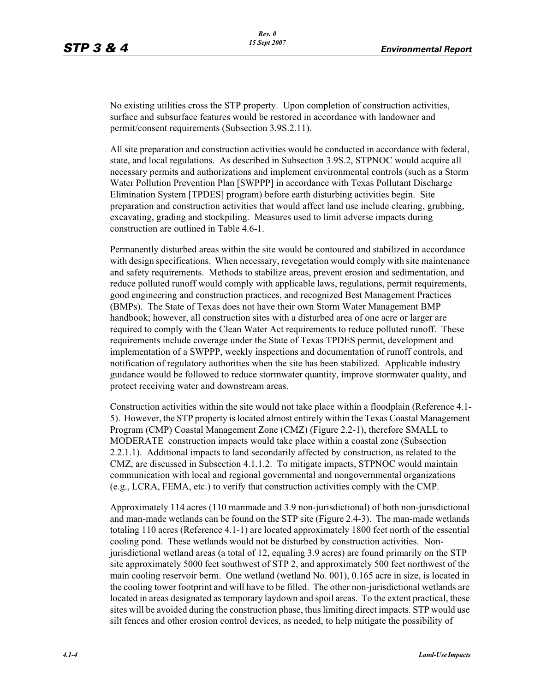No existing utilities cross the STP property. Upon completion of construction activities, surface and subsurface features would be restored in accordance with landowner and permit/consent requirements (Subsection 3.9S.2.11).

All site preparation and construction activities would be conducted in accordance with federal, state, and local regulations. As described in Subsection 3.9S.2, STPNOC would acquire all necessary permits and authorizations and implement environmental controls (such as a Storm Water Pollution Prevention Plan [SWPPP] in accordance with Texas Pollutant Discharge Elimination System [TPDES] program) before earth disturbing activities begin. Site preparation and construction activities that would affect land use include clearing, grubbing, excavating, grading and stockpiling. Measures used to limit adverse impacts during construction are outlined in Table 4.6-1.

Permanently disturbed areas within the site would be contoured and stabilized in accordance with design specifications. When necessary, revegetation would comply with site maintenance and safety requirements. Methods to stabilize areas, prevent erosion and sedimentation, and reduce polluted runoff would comply with applicable laws, regulations, permit requirements, good engineering and construction practices, and recognized Best Management Practices (BMPs). The State of Texas does not have their own Storm Water Management BMP handbook; however, all construction sites with a disturbed area of one acre or larger are required to comply with the Clean Water Act requirements to reduce polluted runoff. These requirements include coverage under the State of Texas TPDES permit, development and implementation of a SWPPP, weekly inspections and documentation of runoff controls, and notification of regulatory authorities when the site has been stabilized. Applicable industry guidance would be followed to reduce stormwater quantity, improve stormwater quality, and protect receiving water and downstream areas.

Construction activities within the site would not take place within a floodplain (Reference 4.1- 5). However, the STP property is located almost entirely within the Texas Coastal Management Program (CMP) Coastal Management Zone (CMZ) (Figure 2.2-1), therefore SMALL to MODERATE construction impacts would take place within a coastal zone (Subsection 2.2.1.1). Additional impacts to land secondarily affected by construction, as related to the CMZ, are discussed in Subsection 4.1.1.2. To mitigate impacts, STPNOC would maintain communication with local and regional governmental and nongovernmental organizations (e.g., LCRA, FEMA, etc.) to verify that construction activities comply with the CMP.

Approximately 114 acres (110 manmade and 3.9 non-jurisdictional) of both non-jurisdictional and man-made wetlands can be found on the STP site (Figure 2.4-3). The man-made wetlands totaling 110 acres (Reference 4.1-1) are located approximately 1800 feet north of the essential cooling pond. These wetlands would not be disturbed by construction activities. Nonjurisdictional wetland areas (a total of 12, equaling 3.9 acres) are found primarily on the STP site approximately 5000 feet southwest of STP 2, and approximately 500 feet northwest of the main cooling reservoir berm. One wetland (wetland No. 001), 0.165 acre in size, is located in the cooling tower footprint and will have to be filled. The other non-jurisdictional wetlands are located in areas designated as temporary laydown and spoil areas. To the extent practical, these sites will be avoided during the construction phase, thus limiting direct impacts. STP would use silt fences and other erosion control devices, as needed, to help mitigate the possibility of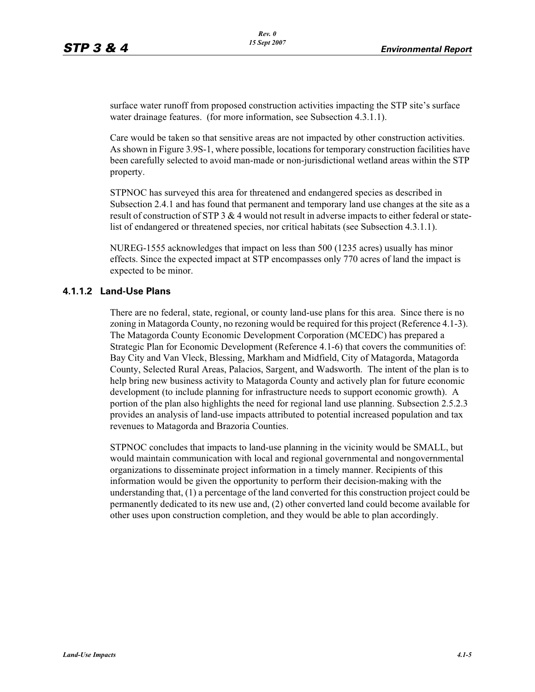surface water runoff from proposed construction activities impacting the STP site's surface water drainage features. (for more information, see Subsection 4.3.1.1).

Care would be taken so that sensitive areas are not impacted by other construction activities. As shown in Figure 3.9S-1, where possible, locations for temporary construction facilities have been carefully selected to avoid man-made or non-jurisdictional wetland areas within the STP property.

STPNOC has surveyed this area for threatened and endangered species as described in Subsection 2.4.1 and has found that permanent and temporary land use changes at the site as a result of construction of STP 3  $&$  4 would not result in adverse impacts to either federal or statelist of endangered or threatened species, nor critical habitats (see Subsection 4.3.1.1).

NUREG-1555 acknowledges that impact on less than 500 (1235 acres) usually has minor effects. Since the expected impact at STP encompasses only 770 acres of land the impact is expected to be minor.

#### **4.1.1.2 Land-Use Plans**

There are no federal, state, regional, or county land-use plans for this area. Since there is no zoning in Matagorda County, no rezoning would be required for this project (Reference 4.1-3). The Matagorda County Economic Development Corporation (MCEDC) has prepared a Strategic Plan for Economic Development (Reference 4.1-6) that covers the communities of: Bay City and Van Vleck, Blessing, Markham and Midfield, City of Matagorda, Matagorda County, Selected Rural Areas, Palacios, Sargent, and Wadsworth. The intent of the plan is to help bring new business activity to Matagorda County and actively plan for future economic development (to include planning for infrastructure needs to support economic growth). A portion of the plan also highlights the need for regional land use planning. Subsection 2.5.2.3 provides an analysis of land-use impacts attributed to potential increased population and tax revenues to Matagorda and Brazoria Counties.

STPNOC concludes that impacts to land-use planning in the vicinity would be SMALL, but would maintain communication with local and regional governmental and nongovernmental organizations to disseminate project information in a timely manner. Recipients of this information would be given the opportunity to perform their decision-making with the understanding that, (1) a percentage of the land converted for this construction project could be permanently dedicated to its new use and, (2) other converted land could become available for other uses upon construction completion, and they would be able to plan accordingly.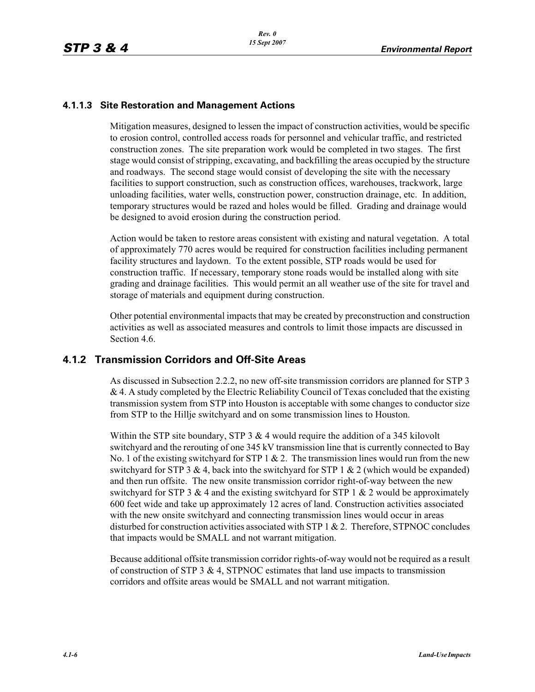#### **4.1.1.3 Site Restoration and Management Actions**

Mitigation measures, designed to lessen the impact of construction activities, would be specific to erosion control, controlled access roads for personnel and vehicular traffic, and restricted construction zones. The site preparation work would be completed in two stages. The first stage would consist of stripping, excavating, and backfilling the areas occupied by the structure and roadways. The second stage would consist of developing the site with the necessary facilities to support construction, such as construction offices, warehouses, trackwork, large unloading facilities, water wells, construction power, construction drainage, etc. In addition, temporary structures would be razed and holes would be filled. Grading and drainage would be designed to avoid erosion during the construction period.

Action would be taken to restore areas consistent with existing and natural vegetation. A total of approximately 770 acres would be required for construction facilities including permanent facility structures and laydown. To the extent possible, STP roads would be used for construction traffic. If necessary, temporary stone roads would be installed along with site grading and drainage facilities. This would permit an all weather use of the site for travel and storage of materials and equipment during construction.

Other potential environmental impacts that may be created by preconstruction and construction activities as well as associated measures and controls to limit those impacts are discussed in Section 4.6.

## **4.1.2 Transmission Corridors and Off-Site Areas**

As discussed in Subsection 2.2.2, no new off-site transmission corridors are planned for STP 3  $& 4. A$  study completed by the Electric Reliability Council of Texas concluded that the existing transmission system from STP into Houston is acceptable with some changes to conductor size from STP to the Hillje switchyard and on some transmission lines to Houston.

Within the STP site boundary, STP  $3 \& 4$  would require the addition of a 345 kilovolt switchyard and the rerouting of one 345 kV transmission line that is currently connected to Bay No. 1 of the existing switchyard for STP 1  $& 2$ . The transmission lines would run from the new switchyard for STP 3 & 4, back into the switchyard for STP 1 & 2 (which would be expanded) and then run offsite. The new onsite transmission corridor right-of-way between the new switchyard for STP 3 & 4 and the existing switchyard for STP 1 & 2 would be approximately 600 feet wide and take up approximately 12 acres of land. Construction activities associated with the new onsite switchyard and connecting transmission lines would occur in areas disturbed for construction activities associated with STP  $1 \& 2$ . Therefore, STPNOC concludes that impacts would be SMALL and not warrant mitigation.

Because additional offsite transmission corridor rights-of-way would not be required as a result of construction of STP 3  $\&$  4, STPNOC estimates that land use impacts to transmission corridors and offsite areas would be SMALL and not warrant mitigation.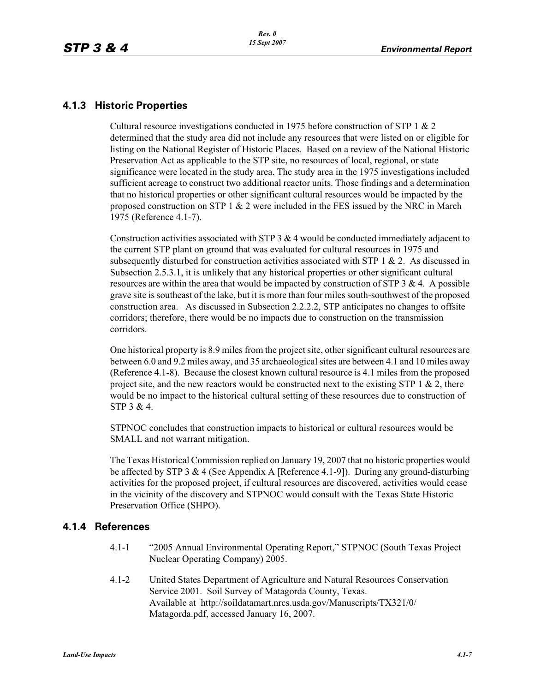### **4.1.3 Historic Properties**

Cultural resource investigations conducted in 1975 before construction of STP 1 & 2 determined that the study area did not include any resources that were listed on or eligible for listing on the National Register of Historic Places. Based on a review of the National Historic Preservation Act as applicable to the STP site, no resources of local, regional, or state significance were located in the study area. The study area in the 1975 investigations included sufficient acreage to construct two additional reactor units. Those findings and a determination that no historical properties or other significant cultural resources would be impacted by the proposed construction on STP 1 & 2 were included in the FES issued by the NRC in March 1975 (Reference 4.1-7).

Construction activities associated with STP 3  $\&$  4 would be conducted immediately adjacent to the current STP plant on ground that was evaluated for cultural resources in 1975 and subsequently disturbed for construction activities associated with STP 1  $\&$  2. As discussed in Subsection 2.5.3.1, it is unlikely that any historical properties or other significant cultural resources are within the area that would be impacted by construction of STP  $3 \& 4$ . A possible grave site is southeast of the lake, but it is more than four miles south-southwest of the proposed construction area. As discussed in Subsection 2.2.2.2, STP anticipates no changes to offsite corridors; therefore, there would be no impacts due to construction on the transmission corridors.

One historical property is 8.9 miles from the project site, other significant cultural resources are between 6.0 and 9.2 miles away, and 35 archaeological sites are between 4.1 and 10 miles away (Reference 4.1-8). Because the closest known cultural resource is 4.1 miles from the proposed project site, and the new reactors would be constructed next to the existing STP 1  $\&$  2, there would be no impact to the historical cultural setting of these resources due to construction of STP 3 & 4.

STPNOC concludes that construction impacts to historical or cultural resources would be SMALL and not warrant mitigation.

The Texas Historical Commission replied on January 19, 2007 that no historic properties would be affected by STP 3 & 4 (See Appendix A [Reference 4.1-9]). During any ground-disturbing activities for the proposed project, if cultural resources are discovered, activities would cease in the vicinity of the discovery and STPNOC would consult with the Texas State Historic Preservation Office (SHPO).

#### **4.1.4 References**

- 4.1-1 "2005 Annual Environmental Operating Report," STPNOC (South Texas Project Nuclear Operating Company) 2005.
- 4.1-2 United States Department of Agriculture and Natural Resources Conservation Service 2001. Soil Survey of Matagorda County, Texas. Available at http://soildatamart.nrcs.usda.gov/Manuscripts/TX321/0/ Matagorda.pdf, accessed January 16, 2007.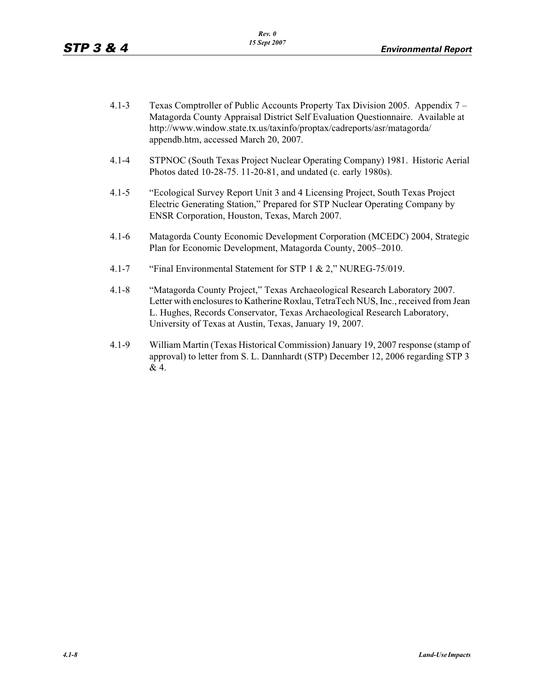- 4.1-3 Texas Comptroller of Public Accounts Property Tax Division 2005. Appendix 7 Matagorda County Appraisal District Self Evaluation Questionnaire. Available at http://www.window.state.tx.us/taxinfo/proptax/cadreports/asr/matagorda/ appendb.htm, accessed March 20, 2007.
- 4.1-4 STPNOC (South Texas Project Nuclear Operating Company) 1981. Historic Aerial Photos dated 10-28-75. 11-20-81, and undated (c. early 1980s).
- 4.1-5 "Ecological Survey Report Unit 3 and 4 Licensing Project, South Texas Project Electric Generating Station," Prepared for STP Nuclear Operating Company by ENSR Corporation, Houston, Texas, March 2007.
- 4.1-6 Matagorda County Economic Development Corporation (MCEDC) 2004, Strategic Plan for Economic Development, Matagorda County, 2005–2010.
- 4.1-7 "Final Environmental Statement for STP 1 & 2," NUREG-75/019.
- 4.1-8 "Matagorda County Project," Texas Archaeological Research Laboratory 2007. Letter with enclosures to Katherine Roxlau, TetraTech NUS, Inc., received from Jean L. Hughes, Records Conservator, Texas Archaeological Research Laboratory, University of Texas at Austin, Texas, January 19, 2007.
- 4.1-9 William Martin (Texas Historical Commission) January 19, 2007 response (stamp of approval) to letter from S. L. Dannhardt (STP) December 12, 2006 regarding STP 3 & 4.